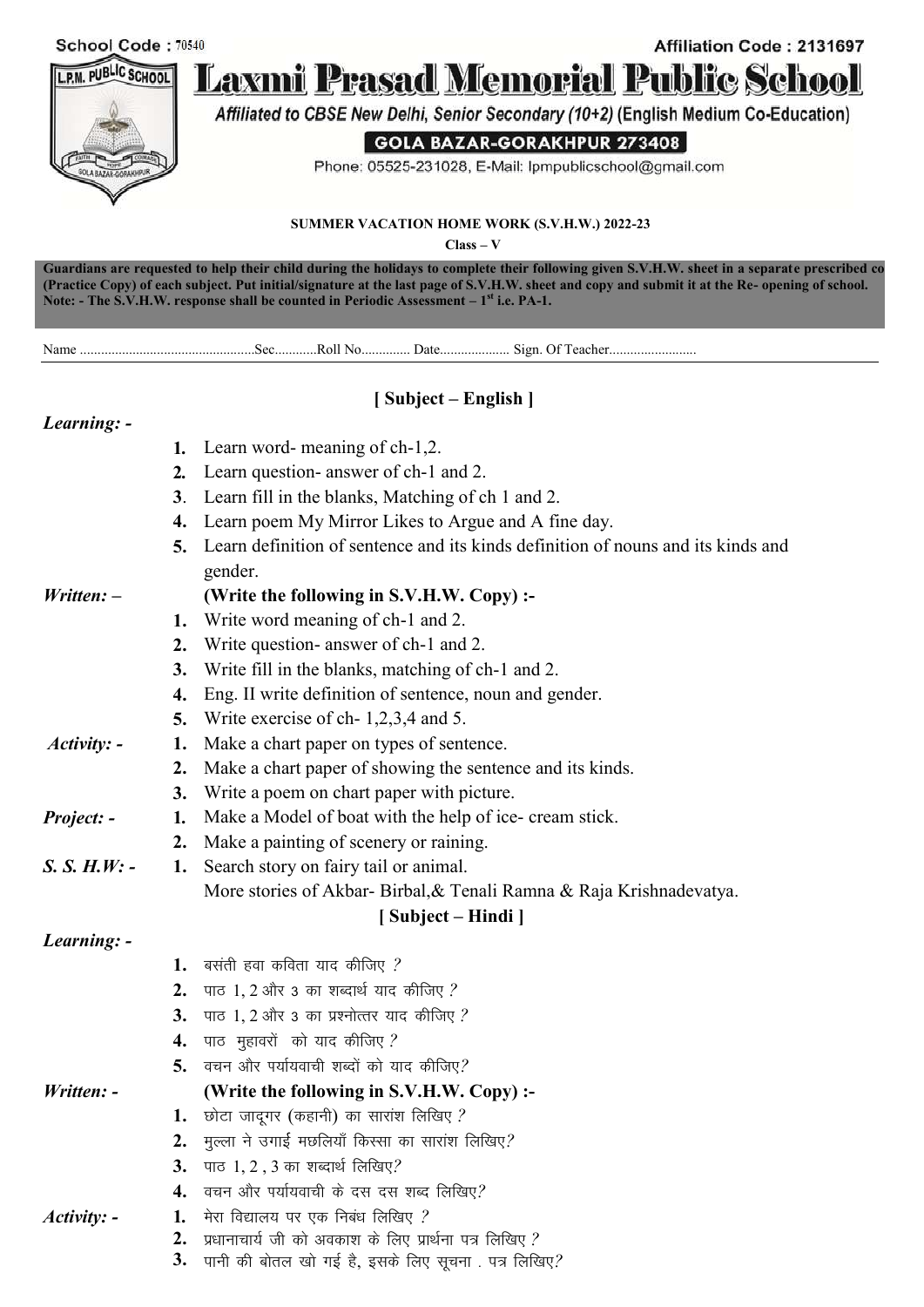

**Guardians are requested to help their child during the holidays to complete their following given S.V.H.W. sheet in a separate prescribed copy (Practice Copy) of each subject. Put initial/signature at the last page of S.V.H.W. sheet and copy and submit it at the Re- opening of school. Note: - The S.V.H.W. response shall be counted in Periodic Assessment – 1 st i.e. PA-1.**

Name ..................................................Sec............Roll No.............. Date.................... Sign. Of Teacher.........................

# **[ Subject – English ]**

## *Learning: -*

*Written: –*

| 1. Learn word- meaning of ch-1,2.    |
|--------------------------------------|
| 2 Learn question enguyar of sh 1 and |

- **2***.* Learn question- answer of ch-1 and 2.
- **3**. Learn fill in the blanks, Matching of ch 1 and 2.
- **4.** Learn poem My Mirror Likes to Argue and A fine day.
- **5.** Learn definition of sentence and its kinds definition of nouns and its kinds and gender.

|  | (Write the following in S.V.H.W. Copy) :- |  |  |
|--|-------------------------------------------|--|--|
|--|-------------------------------------------|--|--|

- **1.** Write word meaning of ch-1 and 2.
- **2.** Write question- answer of ch-1 and 2.
- **3.** Write fill in the blanks, matching of ch-1 and 2.
- **4.** Eng. II write definition of sentence, noun and gender.
- **5.** Write exercise of ch- 1,2,3,4 and 5.
- *Activity: -* **1.** 1. Make a chart paper on types of sentence.
	- **2.** Make a chart paper of showing the sentence and its kinds.
	- **3.** Write a poem on chart paper with picture.
- *Project: -* **1***.* 1. Make a Model of boat with the help of ice- cream stick.
- **2.** Make a painting of scenery or raining.
- *S. S. H.W: -* **1.** Search story on fairy tail or animal. More stories of Akbar- Birbal,& Tenali Ramna & Raja Krishnadevatya.

## **[ Subject – Hindi ]**

| Learning: - |  |
|-------------|--|

- 1. बसती हवा कविता याद कीजिए ? **2.** पाठ 1, 2 और 3 का शब्दार्थ याद कीजिए ? **3.** पाठ 1, 2 और 3 का प्रश्नोत्तर याद कीजिए ? 4. पाठ मुहावरों को याद कीजिए ? 5. वचन और पर्यायवाची शब्दों को याद कीजिए? *Written: -* **(Write the following in S.V.H.W. Copy) :-**
	- 1. छोटा जादूगर (कहानी) का सारांश लिखिए ?
	- **2.** मुल्ला ने उगाई मछलियाँ किस्सा का सारांश लिखिए?
	- **3.** पाठ 1, 2, 3 का शब्दार्थ लिखिए?
	- 4. वचन और पर्यायवाची के दस दस शब्द लिखिए?
- *Activity: -* **1***.* 1. मेरा विद्यालय पर एक निबंध लिखिए *?* 
	- $\bf 2.$  प्रधानाचार्य जी को अवकाश के लिए प्रार्थना पत्र लिखिए *?*
	- $\bf{3.}$  पानी की बोतल खो गई है, इसके लिए सूचना . पत्र लिखिए?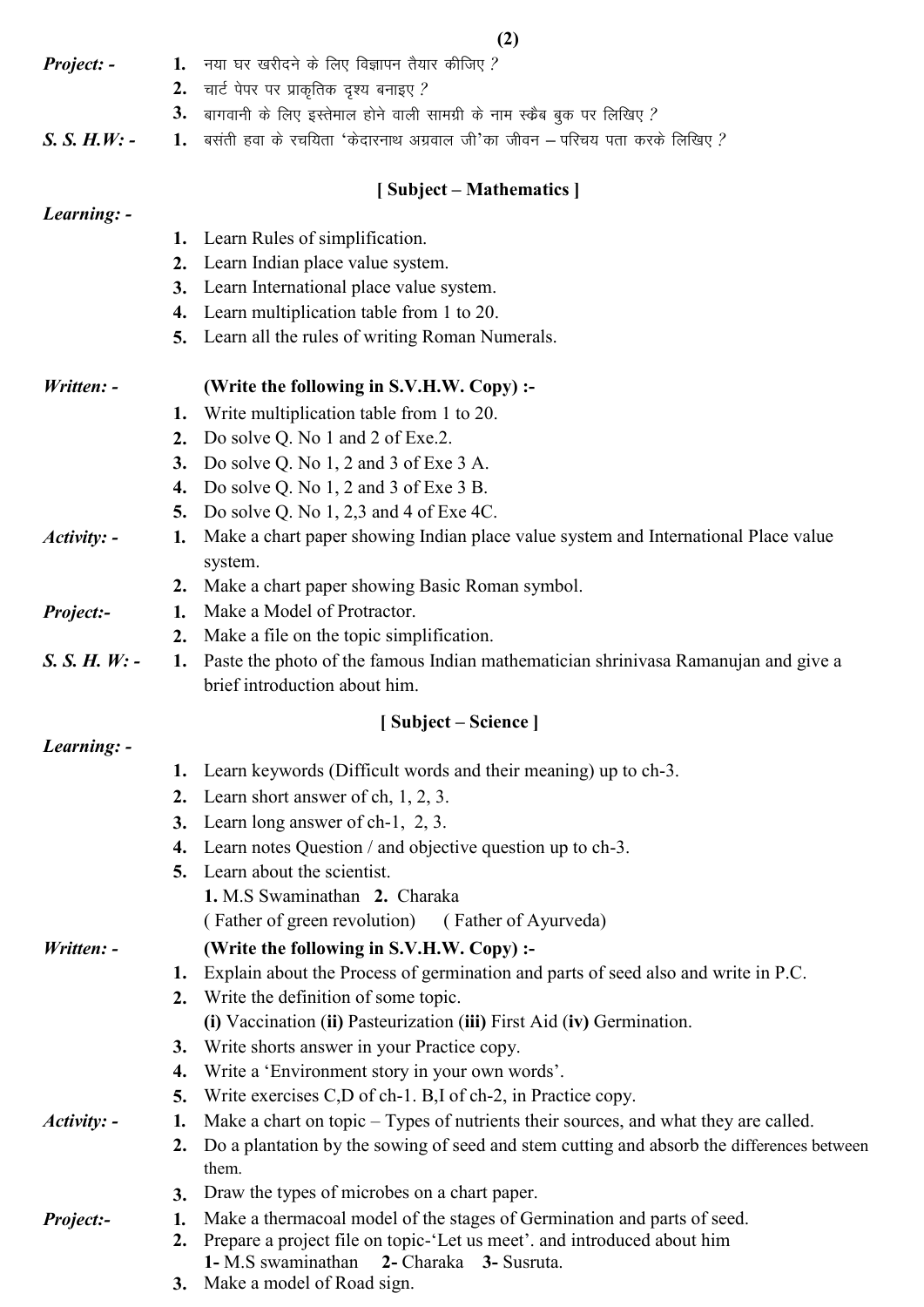|                 |          | (2)                                                                                                                                                |
|-----------------|----------|----------------------------------------------------------------------------------------------------------------------------------------------------|
| Project: -      | 1.       | नया घर खरीदने के लिए विज्ञापन तैयार कीजिए ?                                                                                                        |
|                 | 2.       | चार्ट पेपर पर प्राकृतिक दृश्य बनाइए ?                                                                                                              |
|                 | 3.       | बागवानी के लिए इस्तेमाल होने वाली सामग्री के नाम स्कैब बुक पर लिखिए ?                                                                              |
| $S. S. H.W: -$  | 1.       | बसती हवा के रचयिता 'केदारनाथ अग्रवाल जी'का जीवन – परिचय पता करके लिखिए ?                                                                           |
|                 |          | [Subject – Mathematics]                                                                                                                            |
| Learning: -     |          |                                                                                                                                                    |
|                 |          | 1. Learn Rules of simplification.                                                                                                                  |
|                 | 2.       | Learn Indian place value system.                                                                                                                   |
|                 | 3.<br>4. | Learn International place value system.                                                                                                            |
|                 | 5.       | Learn multiplication table from 1 to 20.<br>Learn all the rules of writing Roman Numerals.                                                         |
|                 |          |                                                                                                                                                    |
| Written: -      |          | (Write the following in S.V.H.W. Copy) :-                                                                                                          |
|                 | 1.       | Write multiplication table from 1 to 20.                                                                                                           |
|                 | 2.       | Do solve Q. No 1 and 2 of Exe.2.                                                                                                                   |
|                 | 3.       | Do solve Q. No $1, 2$ and 3 of Exe 3 A.                                                                                                            |
|                 | 4.       | Do solve Q. No $1, 2$ and $3$ of Exe $3$ B.                                                                                                        |
|                 | 5.       | Do solve Q. No $1, 2, 3$ and 4 of Exe 4C.                                                                                                          |
| $Activity: -$   | 1.       | Make a chart paper showing Indian place value system and International Place value<br>system.                                                      |
|                 | 2.       | Make a chart paper showing Basic Roman symbol.                                                                                                     |
| Project:-       | 1.       | Make a Model of Protractor.                                                                                                                        |
|                 | 2.       | Make a file on the topic simplification.                                                                                                           |
| $S. S. H. W: -$ | 1.       | Paste the photo of the famous Indian mathematician shrinivasa Ramanujan and give a<br>brief introduction about him.                                |
|                 |          | [Subject – Science]                                                                                                                                |
| Learning: -     |          |                                                                                                                                                    |
|                 | 1.       | Learn keywords (Difficult words and their meaning) up to ch-3.                                                                                     |
|                 | 2.       | Learn short answer of ch, $1, 2, 3$ .                                                                                                              |
|                 | 3.       | Learn long answer of ch-1, 2, 3.                                                                                                                   |
|                 | 4.       | Learn notes Question / and objective question up to ch-3.                                                                                          |
|                 | 5.       | Learn about the scientist.                                                                                                                         |
|                 |          | 1. M.S Swaminathan 2. Charaka                                                                                                                      |
|                 |          | (Father of green revolution) (Father of Ayurveda)                                                                                                  |
| Written: -      |          | (Write the following in S.V.H.W. Copy) :-                                                                                                          |
|                 | 1.       | Explain about the Process of germination and parts of seed also and write in P.C.                                                                  |
|                 | 2.       | Write the definition of some topic.                                                                                                                |
|                 |          | (i) Vaccination (ii) Pasteurization (iii) First Aid (iv) Germination.                                                                              |
|                 | 3.       | Write shorts answer in your Practice copy.                                                                                                         |
|                 | 4.       | Write a 'Environment story in your own words'.                                                                                                     |
|                 | 5.       | Write exercises C,D of ch-1. B,I of ch-2, in Practice copy.                                                                                        |
| $Activity: -$   | 1.       | Make a chart on topic – Types of nutrients their sources, and what they are called.                                                                |
|                 | 2.       | Do a plantation by the sowing of seed and stem cutting and absorb the differences between<br>them.                                                 |
|                 | 3.       | Draw the types of microbes on a chart paper.                                                                                                       |
| Project:-       | 1.<br>2. | Make a thermacoal model of the stages of Germination and parts of seed.<br>Prepare a project file on topic-'Let us meet'. and introduced about him |
|                 |          | 1- M.S swaminathan 2- Charaka 3- Susruta.<br>$\sim$ del $\sim$ P and $\sim$                                                                        |

**3.** Make a model of Road sign.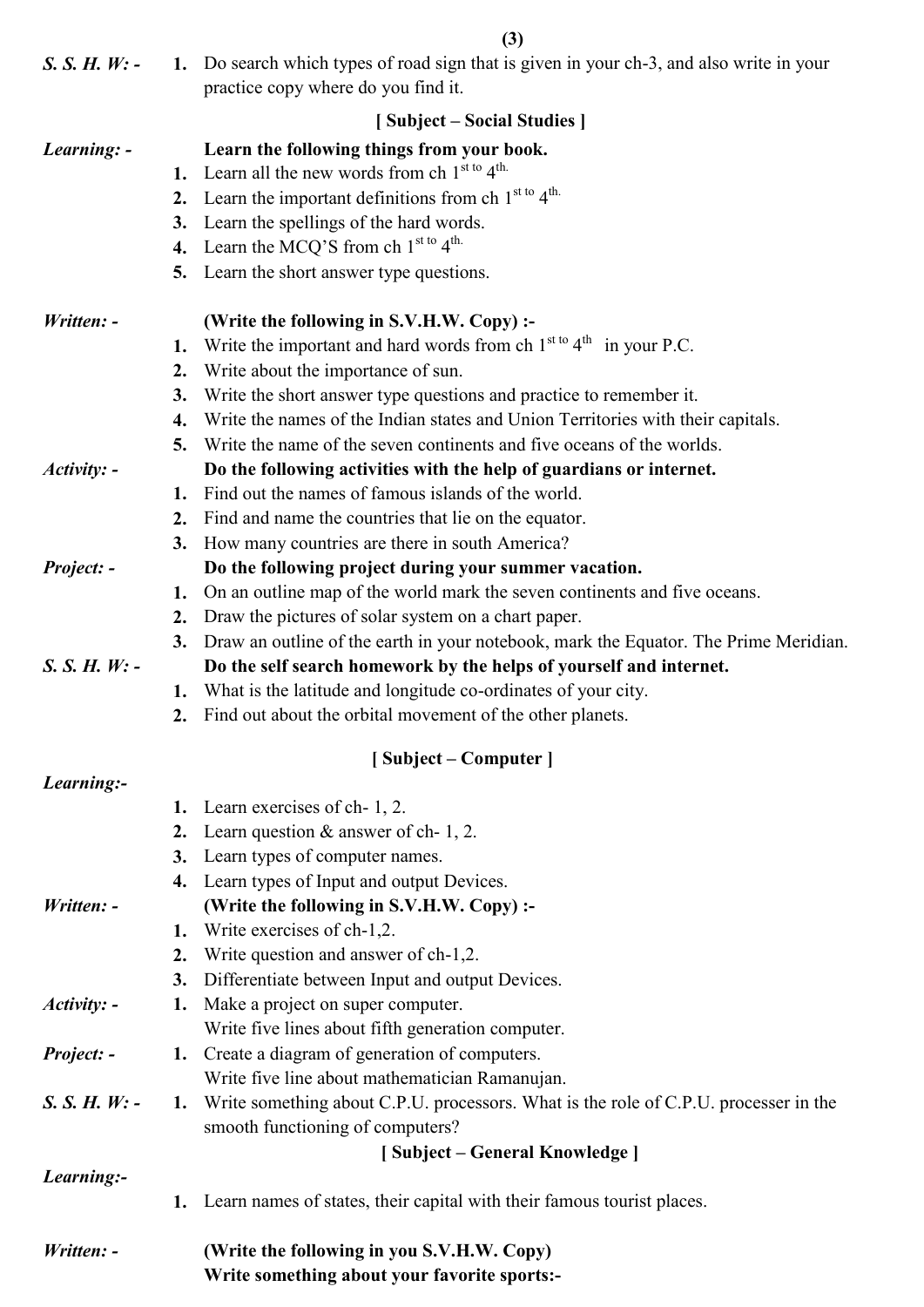**(3)**

| $S. S. H. W: -$ |    | 1. Do search which types of road sign that is given in your ch-3, and also write in your<br>practice copy where do you find it. |
|-----------------|----|---------------------------------------------------------------------------------------------------------------------------------|
|                 |    |                                                                                                                                 |
|                 |    | [Subject – Social Studies]                                                                                                      |
| Learning: -     |    | Learn the following things from your book.                                                                                      |
|                 | 1. | Learn all the new words from ch $1st to 4th$ .                                                                                  |
|                 | 2. | Learn the important definitions from ch $1st to 4th$ .                                                                          |
|                 | 3. | Learn the spellings of the hard words.                                                                                          |
|                 | 4. | Learn the MCQ'S from ch $1^{\text{st to}} 4^{\text{th}}$ .                                                                      |
|                 | 5. | Learn the short answer type questions.                                                                                          |
| Written: -      |    | (Write the following in S.V.H.W. Copy) :-                                                                                       |
|                 | 1. | Write the important and hard words from ch $1^{st to} 4^{th}$ in your P.C.                                                      |
|                 | 2. | Write about the importance of sun.                                                                                              |
|                 | 3. | Write the short answer type questions and practice to remember it.                                                              |
|                 | 4. | Write the names of the Indian states and Union Territories with their capitals.                                                 |
|                 | 5. | Write the name of the seven continents and five oceans of the worlds.                                                           |
| Activity: -     |    | Do the following activities with the help of guardians or internet.                                                             |
|                 | 1. | Find out the names of famous islands of the world.                                                                              |
|                 | 2. | Find and name the countries that lie on the equator.                                                                            |
|                 | 3. | How many countries are there in south America?                                                                                  |
| Project: -      |    | Do the following project during your summer vacation.                                                                           |
|                 | 1. | On an outline map of the world mark the seven continents and five oceans.                                                       |
|                 | 2. | Draw the pictures of solar system on a chart paper.                                                                             |
|                 | 3. | Draw an outline of the earth in your notebook, mark the Equator. The Prime Meridian.                                            |
| $S. S. H. W: -$ |    | Do the self search homework by the helps of yourself and internet.                                                              |
|                 | 1. | What is the latitude and longitude co-ordinates of your city.                                                                   |
|                 | 2. | Find out about the orbital movement of the other planets.                                                                       |
|                 |    | [Subject – Computer]                                                                                                            |
| Learning:-      |    |                                                                                                                                 |
|                 | 1. | Learn exercises of ch-1, 2.                                                                                                     |
|                 | 2. | Learn question $&$ answer of ch- 1, 2.                                                                                          |
|                 | 3. | Learn types of computer names.                                                                                                  |
|                 | 4. | Learn types of Input and output Devices.                                                                                        |
| Written: -      |    | (Write the following in S.V.H.W. Copy) :-                                                                                       |
|                 | 1. | Write exercises of ch-1,2.                                                                                                      |
|                 | 2. | Write question and answer of ch-1,2.                                                                                            |
|                 | 3. | Differentiate between Input and output Devices.                                                                                 |
| $Activity: -$   | 1. | Make a project on super computer.                                                                                               |
|                 |    | Write five lines about fifth generation computer.                                                                               |
| Project: -      |    | 1. Create a diagram of generation of computers.                                                                                 |
|                 |    | Write five line about mathematician Ramanujan.                                                                                  |
| $S. S. H. W: -$ |    | 1. Write something about C.P.U. processors. What is the role of C.P.U. processer in the                                         |
|                 |    | smooth functioning of computers?                                                                                                |
|                 |    | [Subject – General Knowledge]                                                                                                   |
| Learning:-      |    |                                                                                                                                 |
|                 | 1. | Learn names of states, their capital with their famous tourist places.                                                          |
| Written: -      |    | (Write the following in you S.V.H.W. Copy)                                                                                      |

**Write something about your favorite sports:-**